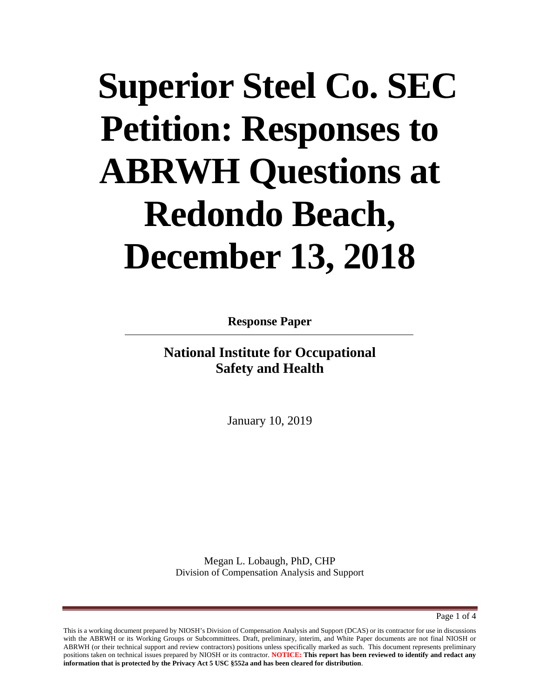# **Superior Steel Co. SEC Petition: Responses to ABRWH Questions at Redondo Beach, December 13, 2018**

**Response Paper**

**National Institute for Occupational Safety and Health**

January 10, 2019

Megan L. Lobaugh, PhD, CHP Division of Compensation Analysis and Support

Page 1 of 4

This is a working document prepared by NIOSH's Division of Compensation Analysis and Support (DCAS) or its contractor for use in discussions with the ABRWH or its Working Groups or Subcommittees. Draft, preliminary, interim, and White Paper documents are not final NIOSH or ABRWH (or their technical support and review contractors) positions unless specifically marked as such. This document represents preliminary positions taken on technical issues prepared by NIOSH or its contractor. **NOTICE: This report has been reviewed to identify and redact any information that is protected by the Privacy Act 5 USC §552a and has been cleared for distribution**.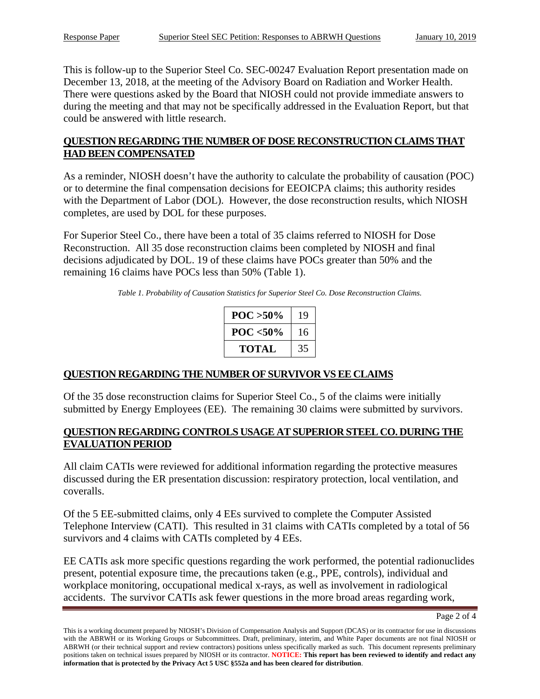This is follow-up to the Superior Steel Co. SEC-00247 Evaluation Report presentation made on December 13, 2018, at the meeting of the Advisory Board on Radiation and Worker Health. There were questions asked by the Board that NIOSH could not provide immediate answers to during the meeting and that may not be specifically addressed in the Evaluation Report, but that could be answered with little research.

## **QUESTION REGARDING THE NUMBER OF DOSE RECONSTRUCTION CLAIMS THAT HAD BEEN COMPENSATED**

As a reminder, NIOSH doesn't have the authority to calculate the probability of causation (POC) or to determine the final compensation decisions for EEOICPA claims; this authority resides with the Department of Labor (DOL). However, the dose reconstruction results, which NIOSH completes, are used by DOL for these purposes.

For Superior Steel Co., there have been a total of 35 claims referred to NIOSH for Dose Reconstruction. All 35 dose reconstruction claims been completed by NIOSH and final decisions adjudicated by DOL. 19 of these claims have POCs greater than 50% and the remaining 16 claims have POCs less than 50% [\(Table 1\)](#page-1-0).

<span id="page-1-0"></span>*Table 1. Probability of Causation Statistics for Superior Steel Co. Dose Reconstruction Claims.*

| $POC > 50\%$ | 19 |
|--------------|----|
| $POC < 50\%$ | 16 |
| TOTAL        | 35 |

## **QUESTION REGARDING THE NUMBER OF SURVIVOR VS EE CLAIMS**

Of the 35 dose reconstruction claims for Superior Steel Co., 5 of the claims were initially submitted by Energy Employees (EE). The remaining 30 claims were submitted by survivors.

#### **QUESTION REGARDING CONTROLS USAGE AT SUPERIOR STEEL CO. DURING THE EVALUATION PERIOD**

All claim CATIs were reviewed for additional information regarding the protective measures discussed during the ER presentation discussion: respiratory protection, local ventilation, and coveralls.

Of the 5 EE-submitted claims, only 4 EEs survived to complete the Computer Assisted Telephone Interview (CATI). This resulted in 31 claims with CATIs completed by a total of 56 survivors and 4 claims with CATIs completed by 4 EEs.

EE CATIs ask more specific questions regarding the work performed, the potential radionuclides present, potential exposure time, the precautions taken (e.g., PPE, controls), individual and workplace monitoring, occupational medical x-rays, as well as involvement in radiological accidents. The survivor CATIs ask fewer questions in the more broad areas regarding work,

Page 2 of 4

This is a working document prepared by NIOSH's Division of Compensation Analysis and Support (DCAS) or its contractor for use in discussions with the ABRWH or its Working Groups or Subcommittees. Draft, preliminary, interim, and White Paper documents are not final NIOSH or ABRWH (or their technical support and review contractors) positions unless specifically marked as such. This document represents preliminary positions taken on technical issues prepared by NIOSH or its contractor. **NOTICE: This report has been reviewed to identify and redact any information that is protected by the Privacy Act 5 USC §552a and has been cleared for distribution**.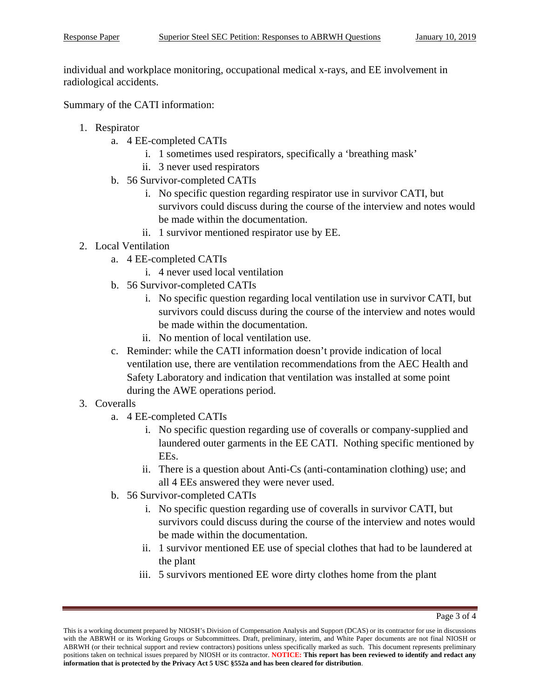individual and workplace monitoring, occupational medical x-rays, and EE involvement in radiological accidents.

Summary of the CATI information:

- 1. Respirator
	- a. 4 EE-completed CATIs
		- i. 1 sometimes used respirators, specifically a 'breathing mask'
		- ii. 3 never used respirators
	- b. 56 Survivor-completed CATIs
		- i. No specific question regarding respirator use in survivor CATI, but survivors could discuss during the course of the interview and notes would be made within the documentation.
		- ii. 1 survivor mentioned respirator use by EE.
- 2. Local Ventilation
	- a. 4 EE-completed CATIs
		- i. 4 never used local ventilation
	- b. 56 Survivor-completed CATIs
		- i. No specific question regarding local ventilation use in survivor CATI, but survivors could discuss during the course of the interview and notes would be made within the documentation.
		- ii. No mention of local ventilation use.
	- c. Reminder: while the CATI information doesn't provide indication of local ventilation use, there are ventilation recommendations from the AEC Health and Safety Laboratory and indication that ventilation was installed at some point during the AWE operations period.
- 3. Coveralls
	- a. 4 EE-completed CATIs
		- i. No specific question regarding use of coveralls or company-supplied and laundered outer garments in the EE CATI. Nothing specific mentioned by EEs.
		- ii. There is a question about Anti-Cs (anti-contamination clothing) use; and all 4 EEs answered they were never used.
	- b. 56 Survivor-completed CATIs
		- i. No specific question regarding use of coveralls in survivor CATI, but survivors could discuss during the course of the interview and notes would be made within the documentation.
		- ii. 1 survivor mentioned EE use of special clothes that had to be laundered at the plant
		- iii. 5 survivors mentioned EE wore dirty clothes home from the plant

This is a working document prepared by NIOSH's Division of Compensation Analysis and Support (DCAS) or its contractor for use in discussions with the ABRWH or its Working Groups or Subcommittees. Draft, preliminary, interim, and White Paper documents are not final NIOSH or ABRWH (or their technical support and review contractors) positions unless specifically marked as such. This document represents preliminary positions taken on technical issues prepared by NIOSH or its contractor. **NOTICE: This report has been reviewed to identify and redact any information that is protected by the Privacy Act 5 USC §552a and has been cleared for distribution**.